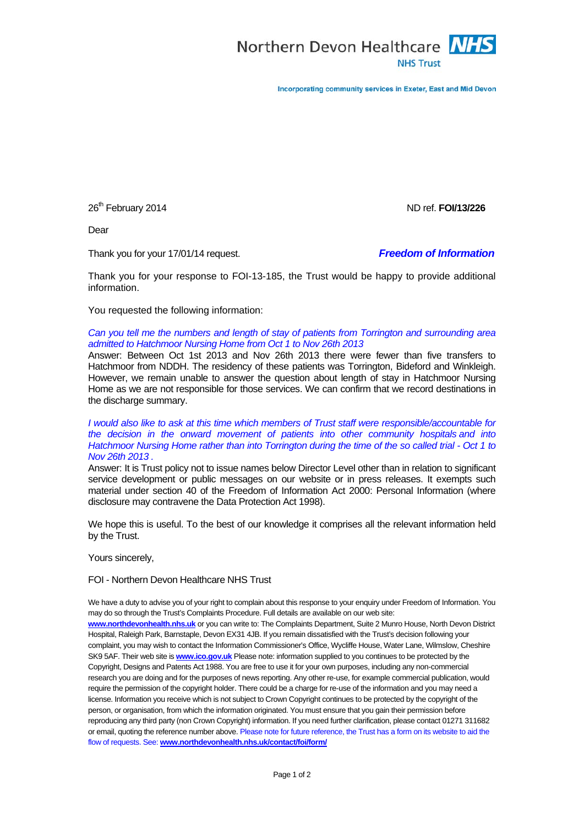

Incorporating community services in Exeter, East and Mid Devon

26th February 2014 ND ref. **FOI/13/226**

Dear

Thank you for your 17/01/14 request. *Freedom of Information*

Thank you for your response to FOI-13-185, the Trust would be happy to provide additional information.

You requested the following information:

*Can you tell me the numbers and length of stay of patients from Torrington and surrounding area admitted to Hatchmoor Nursing Home from Oct 1 to Nov 26th 2013*

Answer: Between Oct 1st 2013 and Nov 26th 2013 there were fewer than five transfers to Hatchmoor from NDDH. The residency of these patients was Torrington, Bideford and Winkleigh. However, we remain unable to answer the question about length of stay in Hatchmoor Nursing Home as we are not responsible for those services. We can confirm that we record destinations in the discharge summary.

*I would also like to ask at this time which members of Trust staff were responsible/accountable for*  the decision in the onward movement of patients into other community hospitals and into *Hatchmoor Nursing Home rather than into Torrington during the time of the so called trial - Oct 1 to Nov 26th 2013 .*

Answer: It is Trust policy not to issue names below Director Level other than in relation to significant service development or public messages on our website or in press releases. It exempts such material under section 40 of the Freedom of Information Act 2000: Personal Information (where disclosure may contravene the Data Protection Act 1998).

We hope this is useful. To the best of our knowledge it comprises all the relevant information held by the Trust.

Yours sincerely,

FOI - Northern Devon Healthcare NHS Trust

We have a duty to advise you of your right to complain about this response to your enquiry under Freedom of Information. You may do so through the Trust's Complaints Procedure. Full details are available on our web site: **[www.northdevonhealth.nhs.uk](http://www.northdevonhealth.nhs.uk/)** or you can write to: The Complaints Department, Suite 2 Munro House, North Devon District Hospital, Raleigh Park, Barnstaple, Devon EX31 4JB. If you remain dissatisfied with the Trust's decision following your complaint, you may wish to contact the Information Commissioner's Office, Wycliffe House, Water Lane, Wilmslow, Cheshire SK9 5AF. Their web site is **[www.ico.gov.uk](http://www.ico.gov.uk/)** Please note: information supplied to you continues to be protected by the Copyright, Designs and Patents Act 1988. You are free to use it for your own purposes, including any non-commercial

research you are doing and for the purposes of news reporting. Any other re-use, for example commercial publication, would require the permission of the copyright holder. There could be a charge for re-use of the information and you may need a license. Information you receive which is not subject to Crown Copyright continues to be protected by the copyright of the person, or organisation, from which the information originated. You must ensure that you gain their permission before reproducing any third party (non Crown Copyright) information. If you need further clarification, please contact 01271 311682 or email, quoting the reference number above. Please note for future reference, the Trust has a form on its website to aid the flow of requests. See: **[www.northdevonhealth.nhs.uk/contact/foi/form/](http://www.northdevonhealth.nhs.uk/contact/foi/form/)**